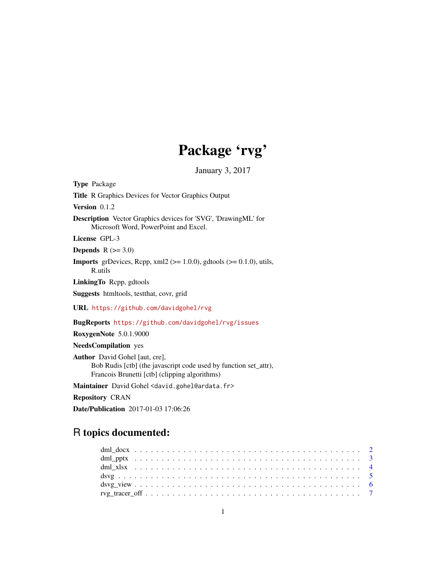# Package 'rvg'

January 3, 2017

<span id="page-0-0"></span>

| <b>Type</b> Package                                                                                                                                        |
|------------------------------------------------------------------------------------------------------------------------------------------------------------|
| <b>Title R Graphics Devices for Vector Graphics Output</b>                                                                                                 |
| Version $0.1.2$                                                                                                                                            |
| <b>Description</b> Vector Graphics devices for 'SVG', 'DrawingML' for<br>Microsoft Word, PowerPoint and Excel.                                             |
| License GPL-3                                                                                                                                              |
| <b>Depends</b> $R (=3.0)$                                                                                                                                  |
| <b>Imports</b> grDevices, Rcpp, $xml2$ ( $>= 1.0.0$ ), gdtools ( $>= 0.1.0$ ), utils,<br>R.utils                                                           |
| LinkingTo Repp, gdtools                                                                                                                                    |
| <b>Suggests</b> htmltools, test that, cover, grid                                                                                                          |
| URL https://github.com/davidgohel/rvg                                                                                                                      |
| <b>BugReports</b> https://github.com/davidgohel/rvg/issues                                                                                                 |
| RoxygenNote 5.0.1.9000                                                                                                                                     |
| <b>NeedsCompilation</b> yes                                                                                                                                |
| <b>Author</b> David Gohel [aut, cre],<br>Bob Rudis [ctb] (the javascript code used by function set_attr),<br>Francois Brunetti [ctb] (clipping algorithms) |
| Maintainer David Gohel <david.gohel@ardata.fr></david.gohel@ardata.fr>                                                                                     |

Repository CRAN

Date/Publication 2017-01-03 17:06:26

# R topics documented: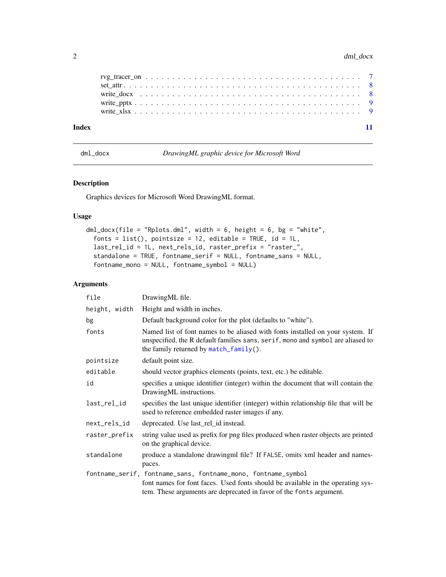| Index |  |  |  |  |  |  |  |  |  |  |  |  |  |  |  |  |  |  |  |
|-------|--|--|--|--|--|--|--|--|--|--|--|--|--|--|--|--|--|--|--|
|       |  |  |  |  |  |  |  |  |  |  |  |  |  |  |  |  |  |  |  |
|       |  |  |  |  |  |  |  |  |  |  |  |  |  |  |  |  |  |  |  |
|       |  |  |  |  |  |  |  |  |  |  |  |  |  |  |  |  |  |  |  |
|       |  |  |  |  |  |  |  |  |  |  |  |  |  |  |  |  |  |  |  |

<span id="page-1-1"></span>dml\_docx *DrawingML graphic device for Microsoft Word*

# Description

Graphics devices for Microsoft Word DrawingML format.

# Usage

```
dml_docx(file = "Rplots.dml", width = 6, height = 6, bg = "white",
  fonts = list(), pointsize = 12, editable = TRUE, id = 1L,
  last_rel_id = 1L, next_rels_id, raster_prefix = "raster_",
  standalone = TRUE, fontname_serif = NULL, fontname_sans = NULL,
  fontname_mono = NULL, fontname_symbol = NULL)
```
# Arguments

| file          | DrawingML file.                                                                                                                                                                                             |
|---------------|-------------------------------------------------------------------------------------------------------------------------------------------------------------------------------------------------------------|
| height, width | Height and width in inches.                                                                                                                                                                                 |
| bg            | Default background color for the plot (defaults to "white").                                                                                                                                                |
| fonts         | Named list of font names to be aliased with fonts installed on your system. If<br>unspecified, the R default families sans, serif, mono and symbol are aliased to<br>the family returned by match_family(). |
| pointsize     | default point size.                                                                                                                                                                                         |
| editable      | should vector graphics elements (points, text, etc.) be editable.                                                                                                                                           |
| id            | specifies a unique identifier (integer) within the document that will contain the<br>DrawingML instructions.                                                                                                |
| last_rel_id   | specifies the last unique identifier (integer) within relationship file that will be<br>used to reference embedded raster images if any.                                                                    |
| next_rels_id  | deprecated. Use last_rel_id instead.                                                                                                                                                                        |
| raster_prefix | string value used as prefix for png files produced when raster objects are printed<br>on the graphical device.                                                                                              |
| standalone    | produce a standalone drawingml file? If FALSE, omits xml header and names-<br>paces.                                                                                                                        |
|               | fontname_serif, fontname_sans, fontname_mono, fontname_symbol                                                                                                                                               |
|               | font names for font faces. Used fonts should be available in the operating sys-<br>tem. These arguments are deprecated in favor of the fonts argument.                                                      |

<span id="page-1-0"></span>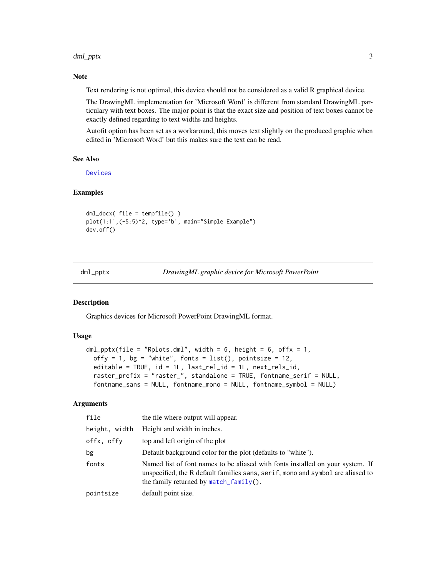# <span id="page-2-0"></span>dml\_pptx 3

# Note

Text rendering is not optimal, this device should not be considered as a valid R graphical device.

The DrawingML implementation for 'Microsoft Word' is different from standard DrawingML particulary with text boxes. The major point is that the exact size and position of text boxes cannot be exactly defined regarding to text widths and heights.

Autofit option has been set as a workaround, this moves text slightly on the produced graphic when edited in 'Microsoft Word' but this makes sure the text can be read.

# See Also

[Devices](#page-0-0)

# Examples

```
dml_docx( file = tempfile() )
plot(1:11,(-5:5)^2, type='b', main="Simple Example")
dev.off()
```
<span id="page-2-1"></span>dml\_pptx *DrawingML graphic device for Microsoft PowerPoint*

# Description

Graphics devices for Microsoft PowerPoint DrawingML format.

# Usage

```
dml_pptx(file = "Rplots.dml", width = 6, height = 6, offx = 1,
 offy = 1, bg = "white", fonts = list(), pointsize = 12,
 editable = TRUE, id = 1L, last_rel_id = 1L, next_rels_id,
 raster_prefix = "raster_", standalone = TRUE, fontname_serif = NULL,
  fontname_sans = NULL, fontname_mono = NULL, fontname_symbol = NULL)
```
# **Arguments**

| file          | the file where output will appear.                                                                                                                                                                             |
|---------------|----------------------------------------------------------------------------------------------------------------------------------------------------------------------------------------------------------------|
| height, width | Height and width in inches.                                                                                                                                                                                    |
| offx, offy    | top and left origin of the plot                                                                                                                                                                                |
| bg            | Default background color for the plot (defaults to "white").                                                                                                                                                   |
| fonts         | Named list of font names to be aliased with fonts installed on your system. If<br>unspecified, the R default families sans, serif, mono and symbol are aliased to<br>the family returned by $match_family()$ . |
| pointsize     | default point size.                                                                                                                                                                                            |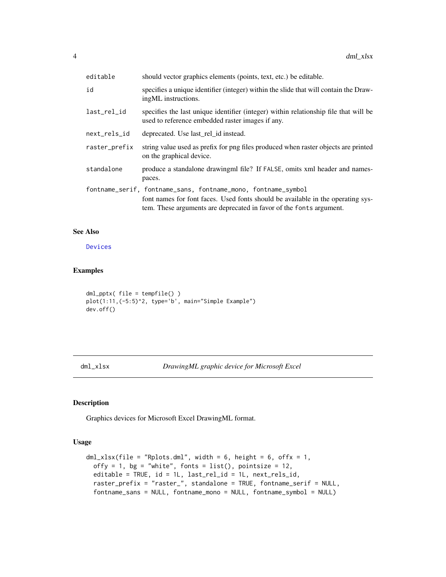<span id="page-3-0"></span>

| editable      | should vector graphics elements (points, text, etc.) be editable.                                                                                                                                                       |
|---------------|-------------------------------------------------------------------------------------------------------------------------------------------------------------------------------------------------------------------------|
| id            | specifies a unique identifier (integer) within the slide that will contain the Draw-<br>ingML instructions.                                                                                                             |
| last_rel_id   | specifies the last unique identifier (integer) within relationship file that will be<br>used to reference embedded raster images if any.                                                                                |
| next_rels_id  | deprecated. Use last rel id instead.                                                                                                                                                                                    |
| raster_prefix | string value used as prefix for png files produced when raster objects are printed<br>on the graphical device.                                                                                                          |
| standalone    | produce a standalone drawingml file? If FALSE, omits xml header and names-<br>paces.                                                                                                                                    |
|               | fontname_serif, fontname_sans, fontname_mono, fontname_symbol<br>font names for font faces. Used fonts should be available in the operating sys-<br>tem. These arguments are deprecated in favor of the fonts argument. |

# See Also

[Devices](#page-0-0)

# Examples

```
dml_pptx( file = tempfile() )
plot(1:11,(-5:5)^2, type='b', main="Simple Example")
dev.off()
```
<span id="page-3-1"></span>dml\_xlsx *DrawingML graphic device for Microsoft Excel*

# Description

Graphics devices for Microsoft Excel DrawingML format.

# Usage

```
dml_xlsx(file = "Rplots.dml", width = 6, height = 6, offx = 1,
 offy = 1, bg = "white", fonts = list(), pointsize = 12,
 editable = TRUE, id = 1L, last_rel_id = 1L, next_rels_id,
 raster_prefix = "raster_", standalone = TRUE, fontname_serif = NULL,
  fontname_sans = NULL, fontname_mono = NULL, fontname_symbol = NULL)
```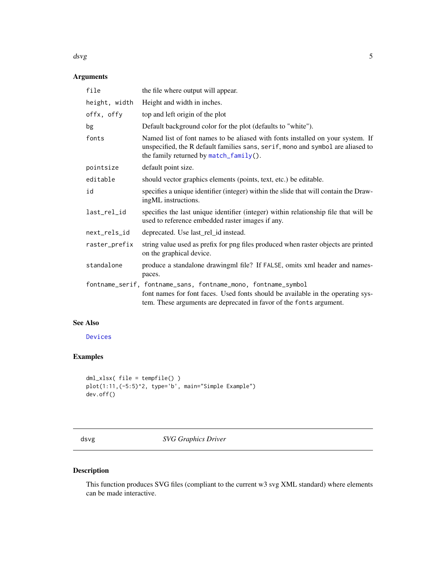# <span id="page-4-0"></span> $dsvg$  5

# Arguments

| file          | the file where output will appear.                                                                                                                                                                                      |
|---------------|-------------------------------------------------------------------------------------------------------------------------------------------------------------------------------------------------------------------------|
| height, width | Height and width in inches.                                                                                                                                                                                             |
| offx, offy    | top and left origin of the plot                                                                                                                                                                                         |
| bg            | Default background color for the plot (defaults to "white").                                                                                                                                                            |
| fonts         | Named list of font names to be aliased with fonts installed on your system. If<br>unspecified, the R default families sans, serif, mono and symbol are aliased to<br>the family returned by match_family().             |
| pointsize     | default point size.                                                                                                                                                                                                     |
| editable      | should vector graphics elements (points, text, etc.) be editable.                                                                                                                                                       |
| id            | specifies a unique identifier (integer) within the slide that will contain the Draw-<br>ingML instructions.                                                                                                             |
| last_rel_id   | specifies the last unique identifier (integer) within relationship file that will be<br>used to reference embedded raster images if any.                                                                                |
| next_rels_id  | deprecated. Use last_rel_id instead.                                                                                                                                                                                    |
| raster_prefix | string value used as prefix for png files produced when raster objects are printed<br>on the graphical device.                                                                                                          |
| standalone    | produce a standalone drawingml file? If FALSE, omits xml header and names-<br>paces.                                                                                                                                    |
|               | fontname_serif, fontname_sans, fontname_mono, fontname_symbol<br>font names for font faces. Used fonts should be available in the operating sys-<br>tem. These arguments are deprecated in favor of the fonts argument. |

# See Also

[Devices](#page-0-0)

# Examples

```
dml_xlsx( file = tempfile() )
plot(1:11,(-5:5)^2, type='b', main="Simple Example")
dev.off()
```
<span id="page-4-1"></span>dsvg *SVG Graphics Driver*

# Description

This function produces SVG files (compliant to the current w3 svg XML standard) where elements can be made interactive.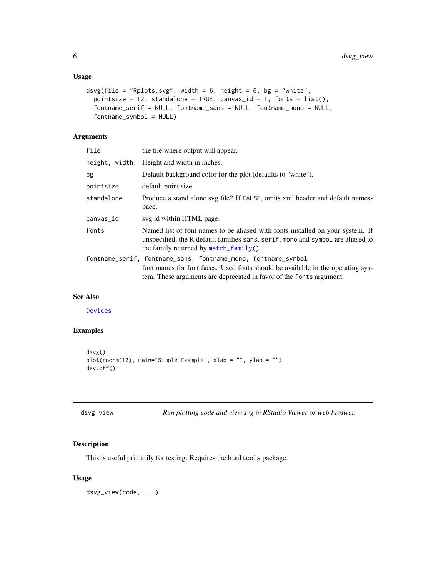```
dsvg(file = "Rplots.svg", width = 6, height = 6, bg = "white",
 pointsize = 12, standalone = TRUE, canvas_id = 1, fonts = list(),
  fontname_serif = NULL, fontname_sans = NULL, fontname_mono = NULL,
 fontname_symbol = NULL)
```
# Arguments

| file          | the file where output will appear.                                                                                                                                                                                      |
|---------------|-------------------------------------------------------------------------------------------------------------------------------------------------------------------------------------------------------------------------|
| height, width | Height and width in inches.                                                                                                                                                                                             |
| bg            | Default background color for the plot (defaults to "white").                                                                                                                                                            |
| pointsize     | default point size.                                                                                                                                                                                                     |
| standalone    | Produce a stand alone svg file? If FALSE, omits xml header and default names-<br>pace.                                                                                                                                  |
| canvas_id     | svg id within HTML page.                                                                                                                                                                                                |
| fonts         | Named list of font names to be aliased with fonts installed on your system. If<br>unspecified, the R default families sans, serif, mono and symbol are aliased to<br>the family returned by match_family().             |
|               | fontname_serif, fontname_sans, fontname_mono, fontname_symbol<br>font names for font faces. Used fonts should be available in the operating sys-<br>tem. These arguments are deprecated in favor of the fonts argument. |

# See Also

# [Devices](#page-0-0)

# Examples

```
dsvg()
plot(rnorm(10), main="Simple Example", xlab = "", ylab = "")
dev.off()
```

| dsvg_view |  |  |
|-----------|--|--|
|           |  |  |

Run plotting code and view svg in RStudio Viewer or web broswer.

# Description

This is useful primarily for testing. Requires the htmltools package.

# Usage

dsvg\_view(code, ...)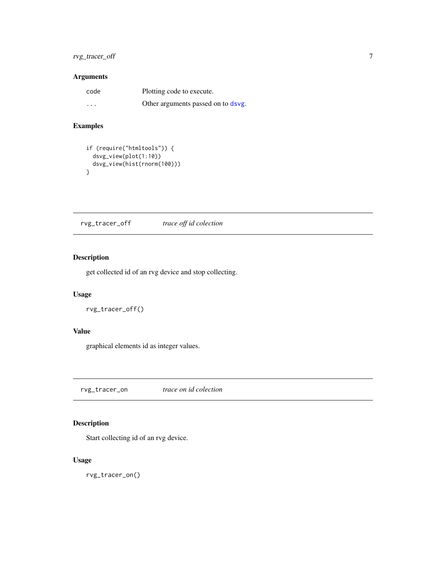# <span id="page-6-0"></span>rvg\_tracer\_off 7

# Arguments

| code     | Plotting code to execute.          |
|----------|------------------------------------|
| $\cdots$ | Other arguments passed on to dsvg. |

# Examples

```
if (require("htmltools")) {
  dsvg_view(plot(1:10))
  dsvg_view(hist(rnorm(100)))
}
```
<span id="page-6-1"></span>rvg\_tracer\_off *trace off id colection*

# Description

get collected id of an rvg device and stop collecting.

# Usage

rvg\_tracer\_off()

# Value

graphical elements id as integer values.

rvg\_tracer\_on *trace on id colection*

# Description

Start collecting id of an rvg device.

# Usage

rvg\_tracer\_on()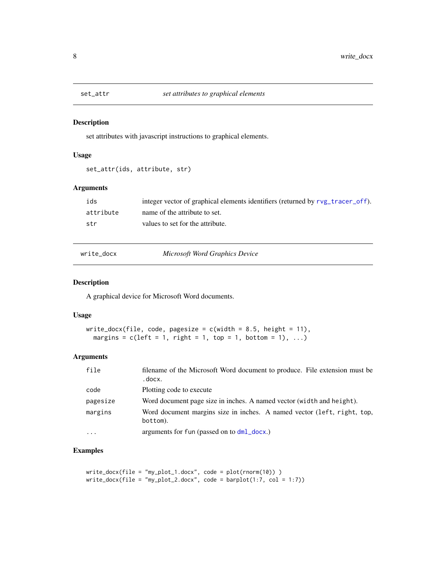<span id="page-7-0"></span>

# Description

set attributes with javascript instructions to graphical elements.

# Usage

```
set_attr(ids, attribute, str)
```
# Arguments

| ids       | integer vector of graphical elements identifiers (returned by rvg_tracer_off). |
|-----------|--------------------------------------------------------------------------------|
| attribute | name of the attribute to set.                                                  |
| str       | values to set for the attribute.                                               |

write\_docx *Microsoft Word Graphics Device*

# Description

A graphical device for Microsoft Word documents.

# Usage

```
write_docx(file, code, pagesize = c(width = 8.5, height = 11),
 margins = c(left = 1, right = 1, top = 1, bottom = 1), ...
```
# Arguments

| file     | filename of the Microsoft Word document to produce. File extension must be<br>.docx. |
|----------|--------------------------------------------------------------------------------------|
| code     | Plotting code to execute                                                             |
| pagesize | Word document page size in inches. A named vector (width and height).                |
| margins  | Word document margins size in inches. A named vector (left, right, top,<br>bottom).  |
| $\cdots$ | arguments for fun (passed on to dml_docx.)                                           |

# Examples

```
write_docx(file = "my_plot_1.docx", code = plot(rnorm(10)) )
write_docx(file = "my_plot_2.docx", code = barplot(1:7, col = 1:7))
```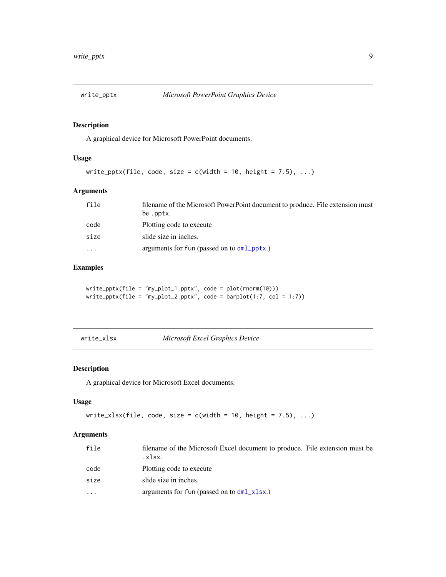<span id="page-8-0"></span>

# Description

A graphical device for Microsoft PowerPoint documents.

# Usage

```
write_pptx(file, code, size = c(width = 10, height = 7.5), \dots)
```
# Arguments

| file    | filename of the Microsoft PowerPoint document to produce. File extension must |
|---------|-------------------------------------------------------------------------------|
|         | be .pptx.                                                                     |
| code    | Plotting code to execute                                                      |
| size    | slide size in inches.                                                         |
| $\cdot$ | arguments for fun (passed on to $dml$ pptx.)                                  |

# Examples

write\_pptx(file = "my\_plot\_1.pptx", code = plot(rnorm(10)))  $write\_pptx(file = "my\_plot_2.path", code = barplot(1:7, col = 1:7))$ 

write\_xlsx *Microsoft Excel Graphics Device*

# Description

A graphical device for Microsoft Excel documents.

# Usage

```
write_xlsx(file, code, size = c(width = 10, height = 7.5), \dots)
```
# Arguments

| file | filename of the Microsoft Excel document to produce. File extension must be<br>.xlsx. |
|------|---------------------------------------------------------------------------------------|
| code | Plotting code to execute                                                              |
| size | slide size in inches.                                                                 |
| .    | arguments for fun (passed on to $dml_xlsx$ .)                                         |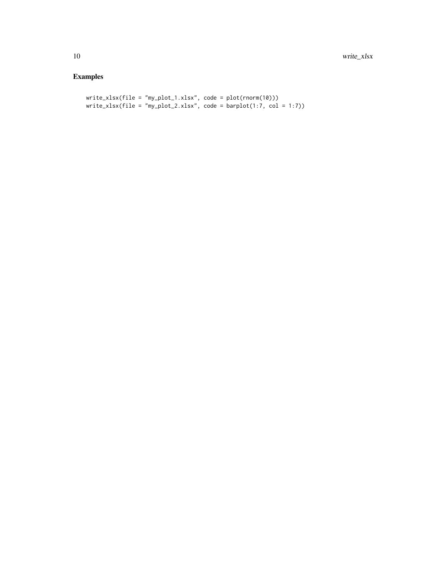# Examples

```
write_xlsx(file = "my_plot_1.xlsx", code = plot(rnorm(10)))
write_xlsx(file = "my_plot_2.xlsx", code = barplot(1:7, col = 1:7))
```